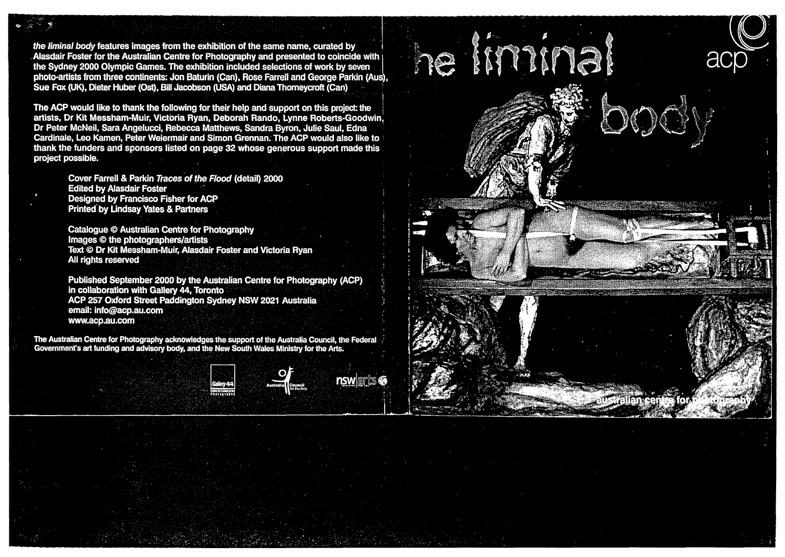the liminal body features images from the exhibition of the same name, curated by Alasdair Foster for the Australian Centre for Photography and presented to coincide with the Sydney 2000 Olympic Games. The exhibition included selections of work by seven photo-artists from three continents; Jon Baturin (Can), Rose Farrell and George Parkin (Aus). Sue Fox (UK), Dieter Huber (Ost), Bill Jacobson (USA) and Diana Thorneycroft (Can)

The ACP would like to thank the following for their help and support on this project: the artists, Dr Kit Messham-Muir, Victoria Ryan, Deborah Rando, Lynne Roberts-Goodwin, Dr Peter McNeil, Sara Angelucci, Rebecca Matthews, Sandra Byron, Julie Saul, Edna Cardinale, Leo Kamen, Peter Weiermair and Simon Grennan. The ACP would also like to thank the funders and sponsors listed on page 32 whose generous support made this project possible.

> Cover Farrell & Parkin Traces of the Flood (detail) 2000 **Edited by Alasdair Foster** Designed by Francisco Fisher for ACP **Printed by Lindsay Yates & Partners**

**Catalogue © Australian Centre for Photography** Images © the photographers/artists<br>Text © Dr Kit Messham-Muir, Alasdair Foster and Victoria Ryan All rights reserved

Published September 2000 by the Australian Centre for Photography (ACP) in collaboration with Gallery 44. Toronto ACP 257 Oxford Street Paddington Sydney NSW 2021 Australia email: info@acp.au.com www.acp.au.com

The Australian Centre for Photography acknowledges the support of the Australia Council, the Federal<br>Government's art funding and advisory body, and the New South Wales Ministry for the Arts.





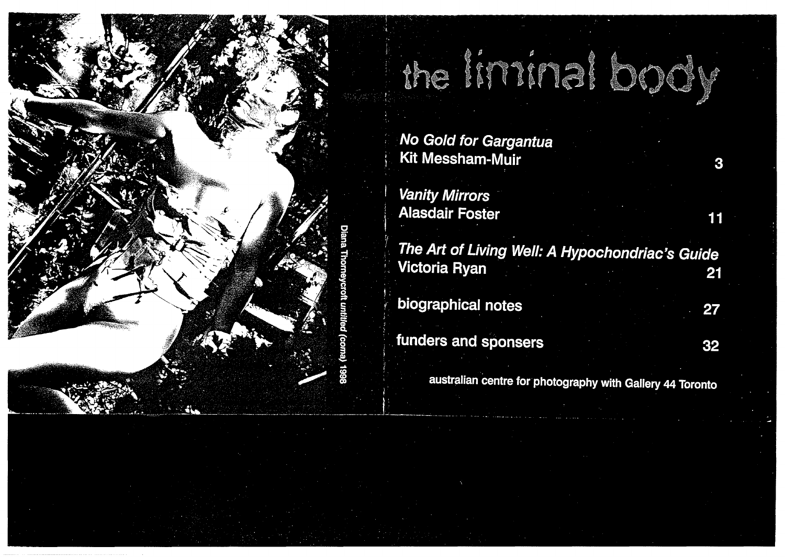

No Gold for Gargantua Kit Messham-Muir

**Vanity Mirrors Alasdair Foster** 

The Art of Living Well: A Hypochondriac's Guide Victoria Ryan 21

the liminal book!

biographical notes

funders and sponsers

27

3

11

32

australian centre for photography with Gallery 44 Toronto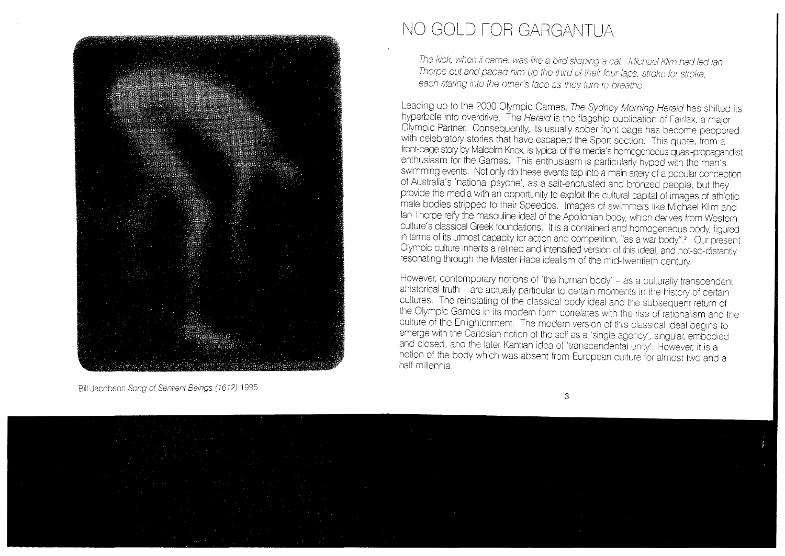

## NO GOLD FOR GARGANTUA

The kick, when it came, was like a bird slipping a cat. Michael Klim had led lan Thorpe out and paced him up the third of their four laps, stroke for stroke, each staring into the other's face as they turn to breathe.

Leading up to the 2000 Olympic Games, The Sydney Morning Herald has shifted its hyperbole into overdrive. The Herald is the flagship publication of Fairfax, a major Olympic Partner. Consequently, its usually sober front page has become peppered with celebratory stories that have escaped the Sport section. This quote, from a front-page story by Malcolm Knox, is typical of the media's homogeneous quasi-propagandist enthusiasm for the Games. This enthusiasm is particularly hyped with the men's swimming events. Not only do these events tap into a main artery of a popular conception of Australia's 'national psyche', as a salt-encrusted and bronzed people, but they provide the media with an opportunity to exploit the cultural capital of images of athletic male bodies stripped to their Speedos Images of swimmers like Michael Klim and lan Thorpe reify the masculine ideal of the Apollonian body, which derives from Western culture's classical Greek foundations. It is a contained and homogeneous body, figured in terms of its utmost capacity for action and competition, "as a war body".<sup>2</sup> Our present Olympic culture inherits a refined and intensified version of this ideal, and not-so-distantly resonating through the Master Race idealism of the mid-twentieth century.

However, contemporary notions of 'the human body' – as a culturally transcendent ahistorical truth – are actually particular to certain moments in the history of certain cultures. The reinstating of the classical body ideal and the subsequent return of the Olympic Games in its modern form correlates with the rise of rationalism and the culture of the Enlightenment. The modern version of this classical ideal begins to emerge with the Cartesian notion of the self as a 'single agency', singular, embodied and closed, and the later Kantian idea of 'transcendental unity'. However, it is a notion of the body which was absent from European culture for almost two and a half millennia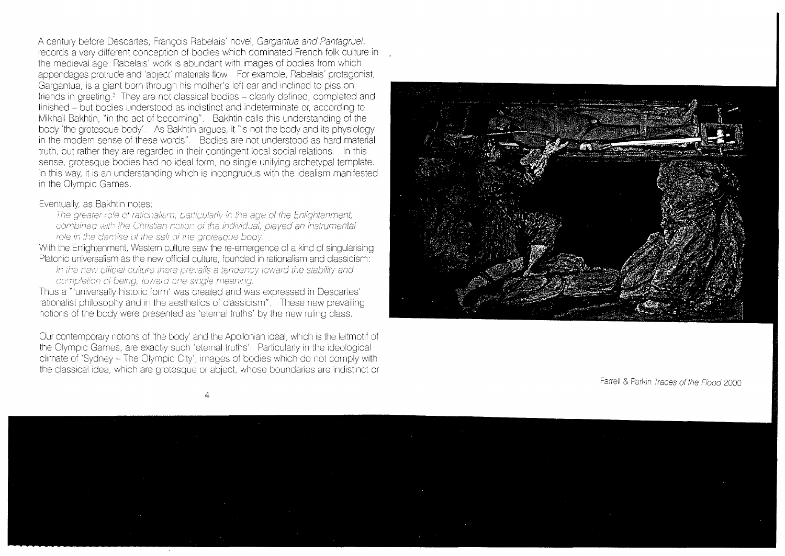A century before Descartes, Francois Rabelais' novel, Gargantua and Pantagruel, records a very different conception of bodies which dominated French folk culture in the medieval age. Rabelais' work is abundant with images of bodies from which appendages protrude and 'abjeC( materials flow For example, Rabelais' protagonist, Gargantua, is a giant born through his mother's left ear and inclined to piss on friends in greeting.' They are not classical bodies- clearly defined, completed and finished - but bodies understood as indistinct and indeterminate or, according to Mikhail Bakhtin, "in the act of becoming". Bakhtin calls this understanding of the body 'the grotesque body'. As Bakhtin argues, it "is not the body and its physiology in the modern sense of these words". Bodies are not understood as hard material truth, but rather they are regarded in their contingent local social relations. In this sense, grotesque bodies had no ideal form, no single unifying archetypal template. In this way, it is an understanding which is incongruous with the idealism manifested in the Olympic Games

## Eventually, as Bakhtin notes;

The greater role of rationalism, particularly in the age of the Enlightenment, combined with the Christian notion of the individual, played an instrumental role in the demise of the self of the grotesque booy.

With the Enlightenment, Western culture saw the re-emergence of a kind of singularising Platonic universalism as the new official culture, founded in rationalism and classicism:

In the new official culture there prevails a tendency toward the stability and completion of being, toward one single meaning.

Thus a "'universally historic form' was created and was expressed in Descartes' rationalist philosophy and in the aesthetics of classicism". These new prevailing notions of the body were presented as 'eternal truths' by the new ruling class.

Our contemporary notions of 'the body' and the Apollonian 1deal, which is the leitmotif of the Olympic Games, are exactly such 'eternal truths'. Particularly in the ideological climate of 'Sydney- The Olympic City', images of bodies which do not comply with the classical idea, which are grotesque or abject, whose boundaries are indistinct or



Farrell & Parkin Traces of the Flood 2000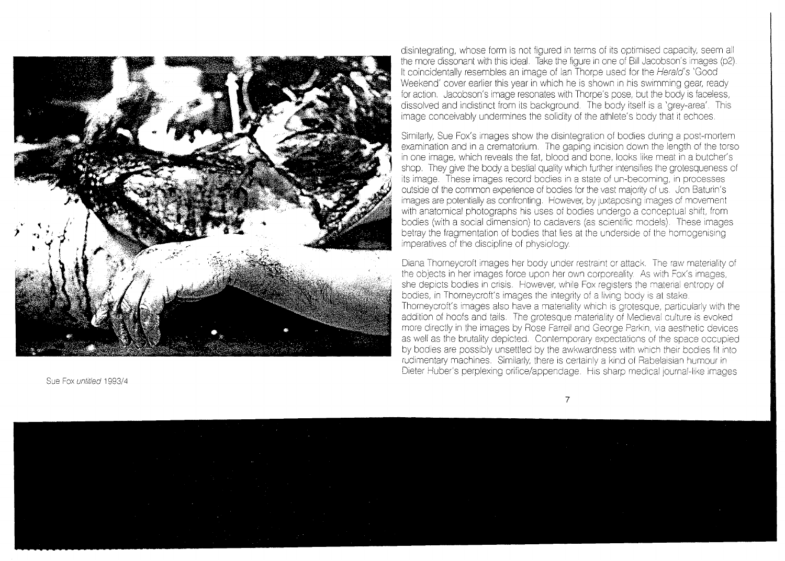

disintegrating, whose form is not figured in terms of its optimised capacity, seem all the more dissonant with this ideal. Take the figure in one of Bill Jacobson's images (p2). It coincidentally resembles an image of ian Thorpe used for the Herald's 'Good Weekend' cover earlier this year in which he is shown in his swimming gear, ready for action. Jacobson's image resonates with Thorpe's pose, but the body is faceless, dissolved and indistinct from its background. The body itself is a 'grey-area'. This image conceivably undermines the solidity of the athlete's body that it echoes.

Similarly, Sue Fox's images show the disintegration of bodies during a post-mortem examination and in a crematorium. The gaping incision down the length of the torso in one image, which reveals the fat, blood and bone, looks like meat in a butcher's shop. They give the body a bestial quality which further intensifies the grotesqueness of its image. These images record bodies in a state of un-becoming, in processes outside of the common experience of bodies for the vast majority of us. Jon Baturin's images are potentially as confronting. However, by juxtaposing images of movement with anatomical photographs his uses of bodies undergo a conceptual shift, from bodies (with a social dimension) to cadavers (as scientific models). These images betray the fragmentation of bodies that lies at the underside of the homogenising imperatives of the discipline of physiology.

Diana Thorneycroft images her body under restraint or attack. The raw materiality of the objects in her images force upon her own corporeality. As with Fox's images, she depicts bodies in crisis. However, while Fox registers the matenal entropy of bodies, in Thorneycroft's images the integrity of a living body is at stake. Thorneycroft's images also have a matenality which is grotesque, particularly with the addition of hoofs and tails. The grotesque materiality of Medieval culture is evoked more directly in the images by Rose Farrell and George Parkin, via aesthetic devices as well as the brutality depicted. Contemporary expectations of the space occupied by bodies are possibly unsettled by the awkwardness with which their bodies fit into rudimentary machines. Similarly, there is certainly a kind of Rabelaisian humour in Dieter Huber's perplexing orifice/appendage. His sharp medical journal-like images

Sue Fox untitled 1993/4